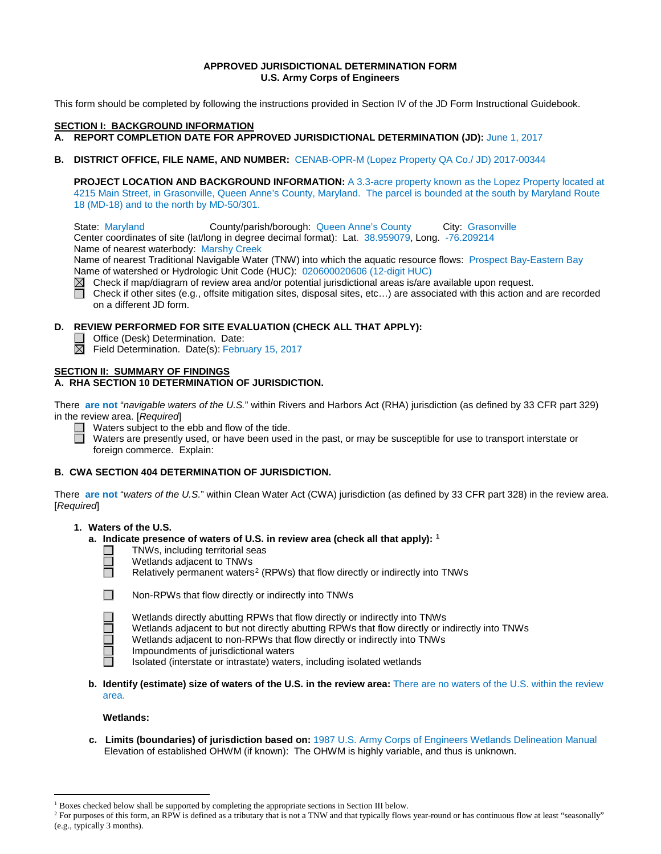## **APPROVED JURISDICTIONAL DETERMINATION FORM U.S. Army Corps of Engineers**

This form should be completed by following the instructions provided in Section IV of the JD Form Instructional Guidebook.

#### **SECTION I: BACKGROUND INFORMATION**

**A. REPORT COMPLETION DATE FOR APPROVED JURISDICTIONAL DETERMINATION (JD):** June 1, 2017

**B. DISTRICT OFFICE, FILE NAME, AND NUMBER:** CENAB-OPR-M (Lopez Property QA Co./ JD) 2017-00344

**PROJECT LOCATION AND BACKGROUND INFORMATION:** A 3.3-acre property known as the Lopez Property located at 4215 Main Street, in Grasonville, Queen Anne's County, Maryland. The parcel is bounded at the south by Maryland Route 18 (MD-18) and to the north by MD-50/301.

State: Maryland County/parish/borough: Queen Anne's County City: Grasonville Center coordinates of site (lat/long in degree decimal format): Lat. 38.959079, Long. -76.209214 Name of nearest waterbody: Marshy Creek

Name of nearest Traditional Navigable Water (TNW) into which the aquatic resource flows: Prospect Bay-Eastern Bay Name of watershed or Hydrologic Unit Code (HUC): 020600020606 (12-digit HUC)

 $\boxtimes$  Check if map/diagram of review area and/or potential jurisdictional areas is/are available upon request.

 $\Box$ Check if other sites (e.g., offsite mitigation sites, disposal sites, etc…) are associated with this action and are recorded on a different JD form.

## **D. REVIEW PERFORMED FOR SITE EVALUATION (CHECK ALL THAT APPLY):**

- Office (Desk) Determination. Date:
- $\boxtimes$ Field Determination. Date(s): February 15, 2017

#### **SECTION II: SUMMARY OF FINDINGS A. RHA SECTION 10 DETERMINATION OF JURISDICTION.**

There **are not** "*navigable waters of the U.S.*" within Rivers and Harbors Act (RHA) jurisdiction (as defined by 33 CFR part 329) in the review area. [*Required*]



Waters subject to the ebb and flow of the tide.

Waters are presently used, or have been used in the past, or may be susceptible for use to transport interstate or foreign commerce. Explain:

## **B. CWA SECTION 404 DETERMINATION OF JURISDICTION.**

There **are not** "*waters of the U.S.*" within Clean Water Act (CWA) jurisdiction (as defined by 33 CFR part 328) in the review area. [*Required*]

## **1. Waters of the U.S.**

- **a. Indicate presence of waters of U.S. in review area (check all that apply): [1](#page-0-0)**
	- TNWs, including territorial seas
	- Wetlands adjacent to TNWs
	- Relatively permanent waters<sup>[2](#page-0-1)</sup> (RPWs) that flow directly or indirectly into TNWs



П

Non-RPWs that flow directly or indirectly into TNWs

- Wetlands directly abutting RPWs that flow directly or indirectly into TNWs
- Wetlands adjacent to but not directly abutting RPWs that flow directly or indirectly into TNWs
- Wetlands adjacent to non-RPWs that flow directly or indirectly into TNWs
- Impoundments of jurisdictional waters

Isolated (interstate or intrastate) waters, including isolated wetlands

**b. Identify (estimate) size of waters of the U.S. in the review area:** There are no waters of the U.S. within the review area.

**Wetlands:**

 **c. Limits (boundaries) of jurisdiction based on:** 1987 U.S. Army Corps of Engineers Wetlands Delineation Manual Elevation of established OHWM (if known): The OHWM is highly variable, and thus is unknown.

<sup>&</sup>lt;sup>1</sup> Boxes checked below shall be supported by completing the appropriate sections in Section III below.

<span id="page-0-1"></span><span id="page-0-0"></span><sup>&</sup>lt;sup>2</sup> For purposes of this form, an RPW is defined as a tributary that is not a TNW and that typically flows year-round or has continuous flow at least "seasonally" (e.g., typically 3 months).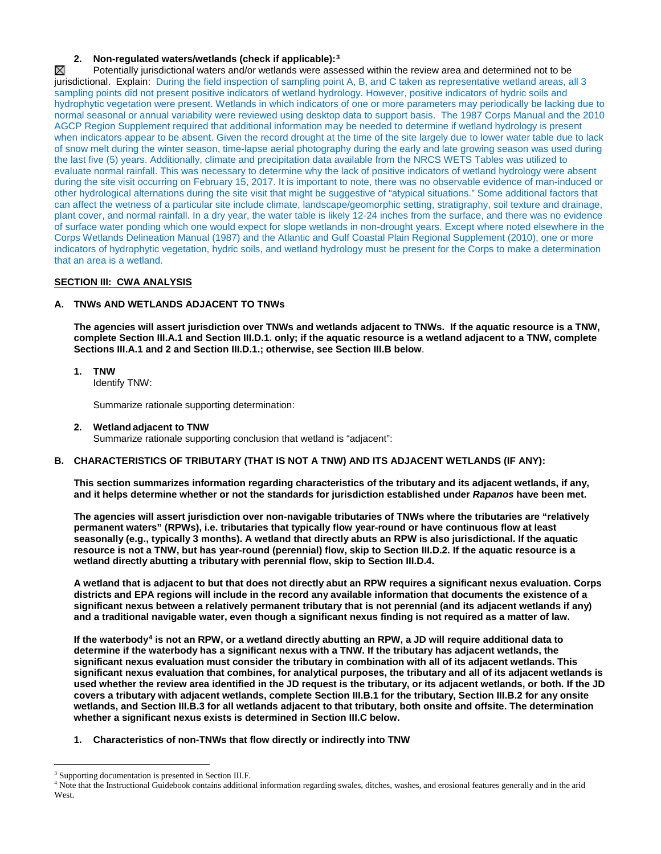## **2. Non-regulated waters/wetlands (check if applicable):[3](#page-1-0)**

 $\boxtimes$ Potentially jurisdictional waters and/or wetlands were assessed within the review area and determined not to be jurisdictional. Explain: During the field inspection of sampling point A, B, and C taken as representative wetland areas, all 3 sampling points did not present positive indicators of wetland hydrology. However, positive indicators of hydric soils and hydrophytic vegetation were present. Wetlands in which indicators of one or more parameters may periodically be lacking due to normal seasonal or annual variability were reviewed using desktop data to support basis. The 1987 Corps Manual and the 2010 AGCP Region Supplement required that additional information may be needed to determine if wetland hydrology is present when indicators appear to be absent. Given the record drought at the time of the site largely due to lower water table due to lack of snow melt during the winter season, time-lapse aerial photography during the early and late growing season was used during the last five (5) years. Additionally, climate and precipitation data available from the NRCS WETS Tables was utilized to evaluate normal rainfall. This was necessary to determine why the lack of positive indicators of wetland hydrology were absent during the site visit occurring on February 15, 2017. It is important to note, there was no observable evidence of man-induced or other hydrological alternations during the site visit that might be suggestive of "atypical situations." Some additional factors that can affect the wetness of a particular site include climate, landscape/geomorphic setting, stratigraphy, soil texture and drainage, plant cover, and normal rainfall. In a dry year, the water table is likely 12-24 inches from the surface, and there was no evidence of surface water ponding which one would expect for slope wetlands in non-drought years. Except where noted elsewhere in the Corps Wetlands Delineation Manual (1987) and the Atlantic and Gulf Coastal Plain Regional Supplement (2010), one or more indicators of hydrophytic vegetation, hydric soils, and wetland hydrology must be present for the Corps to make a determination that an area is a wetland.

## **SECTION III: CWA ANALYSIS**

## **A. TNWs AND WETLANDS ADJACENT TO TNWs**

**The agencies will assert jurisdiction over TNWs and wetlands adjacent to TNWs. If the aquatic resource is a TNW, complete Section III.A.1 and Section III.D.1. only; if the aquatic resource is a wetland adjacent to a TNW, complete Sections III.A.1 and 2 and Section III.D.1.; otherwise, see Section III.B below**.

# **1. TNW**

Identify TNW:

Summarize rationale supporting determination:

**2. Wetland adjacent to TNW**  Summarize rationale supporting conclusion that wetland is "adjacent":

## **B. CHARACTERISTICS OF TRIBUTARY (THAT IS NOT A TNW) AND ITS ADJACENT WETLANDS (IF ANY):**

**This section summarizes information regarding characteristics of the tributary and its adjacent wetlands, if any, and it helps determine whether or not the standards for jurisdiction established under** *Rapanos* **have been met.** 

**The agencies will assert jurisdiction over non-navigable tributaries of TNWs where the tributaries are "relatively permanent waters" (RPWs), i.e. tributaries that typically flow year-round or have continuous flow at least seasonally (e.g., typically 3 months). A wetland that directly abuts an RPW is also jurisdictional. If the aquatic resource is not a TNW, but has year-round (perennial) flow, skip to Section III.D.2. If the aquatic resource is a wetland directly abutting a tributary with perennial flow, skip to Section III.D.4.** 

**A wetland that is adjacent to but that does not directly abut an RPW requires a significant nexus evaluation. Corps districts and EPA regions will include in the record any available information that documents the existence of a significant nexus between a relatively permanent tributary that is not perennial (and its adjacent wetlands if any) and a traditional navigable water, even though a significant nexus finding is not required as a matter of law.**

**If the waterbody[4](#page-1-1) is not an RPW, or a wetland directly abutting an RPW, a JD will require additional data to determine if the waterbody has a significant nexus with a TNW. If the tributary has adjacent wetlands, the significant nexus evaluation must consider the tributary in combination with all of its adjacent wetlands. This significant nexus evaluation that combines, for analytical purposes, the tributary and all of its adjacent wetlands is used whether the review area identified in the JD request is the tributary, or its adjacent wetlands, or both. If the JD covers a tributary with adjacent wetlands, complete Section III.B.1 for the tributary, Section III.B.2 for any onsite wetlands, and Section III.B.3 for all wetlands adjacent to that tributary, both onsite and offsite. The determination whether a significant nexus exists is determined in Section III.C below.**

**1. Characteristics of non-TNWs that flow directly or indirectly into TNW**

<span id="page-1-0"></span><sup>&</sup>lt;sup>3</sup> Supporting documentation is presented in Section III.F.

<span id="page-1-1"></span><sup>&</sup>lt;sup>4</sup> Note that the Instructional Guidebook contains additional information regarding swales, ditches, washes, and erosional features generally and in the arid West.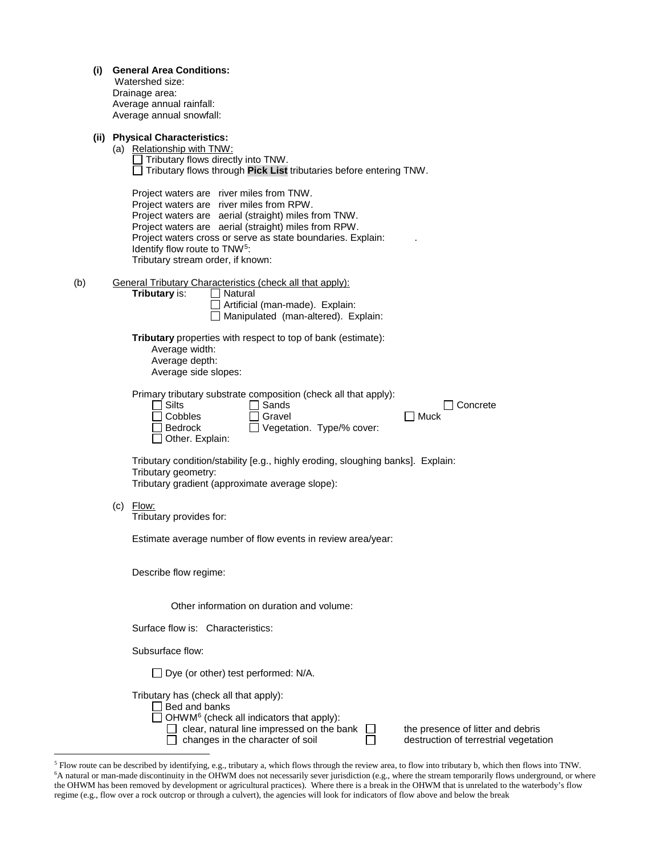| (i) General Area Conditions: |  |  |
|------------------------------|--|--|
|------------------------------|--|--|

| Watershed size:          |  |
|--------------------------|--|
| Drainage area:           |  |
| Average annual rainfall: |  |
| Average annual snowfall: |  |

## **(ii) Physical Characteristics:**

|     | (a) Relationship with TNW:<br>Tributary flows directly into TNW.<br>$\Box$ Tributary flows through Pick List tributaries before entering TNW.<br>Project waters are river miles from TNW.<br>Project waters are river miles from RPW.<br>Project waters are aerial (straight) miles from TNW.<br>Project waters are aerial (straight) miles from RPW.<br>Project waters cross or serve as state boundaries. Explain:<br>Identify flow route to TNW <sup>5</sup> :<br>Tributary stream order, if known: |
|-----|--------------------------------------------------------------------------------------------------------------------------------------------------------------------------------------------------------------------------------------------------------------------------------------------------------------------------------------------------------------------------------------------------------------------------------------------------------------------------------------------------------|
| (b) | <b>General Tributary Characteristics (check all that apply):</b><br>Tributary is:<br>Natural<br>Artificial (man-made). Explain:<br>Manipulated (man-altered). Explain:                                                                                                                                                                                                                                                                                                                                 |
|     | Tributary properties with respect to top of bank (estimate):<br>Average width:<br>Average depth:<br>Average side slopes:                                                                                                                                                                                                                                                                                                                                                                               |
|     | Primary tributary substrate composition (check all that apply):<br>$\exists$ Silts<br>Sands<br>Concrete<br>Cobbles<br>Gravel<br>∃ Muck<br>◯ Vegetation. Type/% cover:<br><b>Bedrock</b><br>Other. Explain:                                                                                                                                                                                                                                                                                             |
|     | Tributary condition/stability [e.g., highly eroding, sloughing banks]. Explain:<br>Tributary geometry:<br>Tributary gradient (approximate average slope):                                                                                                                                                                                                                                                                                                                                              |
|     | $(c)$ Flow:<br>Tributary provides for:                                                                                                                                                                                                                                                                                                                                                                                                                                                                 |
|     | Estimate average number of flow events in review area/year:                                                                                                                                                                                                                                                                                                                                                                                                                                            |
|     | Describe flow regime:                                                                                                                                                                                                                                                                                                                                                                                                                                                                                  |
|     | Other information on duration and volume:                                                                                                                                                                                                                                                                                                                                                                                                                                                              |
|     | Surface flow is: Characteristics:                                                                                                                                                                                                                                                                                                                                                                                                                                                                      |
|     | Subsurface flow:                                                                                                                                                                                                                                                                                                                                                                                                                                                                                       |

<span id="page-2-1"></span><span id="page-2-0"></span> 5 Flow route can be described by identifying, e.g., tributary a, which flows through the review area, to flow into tributary b, which then flows into TNW. 6 A natural or man-made discontinuity in the OHWM does not necessarily sever jurisdiction (e.g., where the stream temporarily flows underground, or where the OHWM has been removed by development or agricultural practices). Where there is a break in the OHWM that is unrelated to the waterbody's flow regime (e.g., flow over a rock outcrop or through a culvert), the agencies will look for indicators of flow above and below the break

clear, natural line impressed on the bank  $\Box$  the presence of litter and debris changes in the character of soil  $\Box$  destruction of terrestrial vegetation

□ Dye (or other) test performed: N/A.

OHWM[6](#page-2-1) (check all indicators that apply):

Tributary has (check all that apply): Bed and banks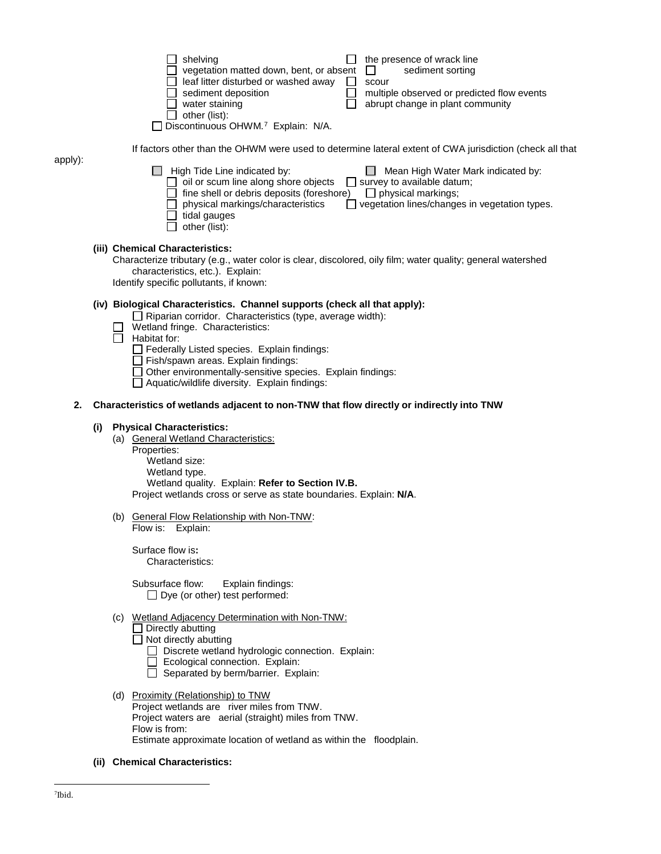|     |     | shelving<br>the presence of wrack line<br>vegetation matted down, bent, or absent<br>$\perp$<br>sediment sorting<br>leaf litter disturbed or washed away<br>scour<br>$\Box$<br>sediment deposition<br>multiple observed or predicted flow events<br>abrupt change in plant community<br>water staining<br>other (list):<br>Discontinuous OHWM.7 Explain: N/A.                                                 |
|-----|-----|---------------------------------------------------------------------------------------------------------------------------------------------------------------------------------------------------------------------------------------------------------------------------------------------------------------------------------------------------------------------------------------------------------------|
|     |     | If factors other than the OHWM were used to determine lateral extent of CWA jurisdiction (check all that                                                                                                                                                                                                                                                                                                      |
| y): |     | High Tide Line indicated by:<br>Mean High Water Mark indicated by:<br>oil or scum line along shore objects<br>$\Box$ survey to available datum;<br>fine shell or debris deposits (foreshore)<br>$\Box$ physical markings;<br>physical markings/characteristics<br>$\Box$ vegetation lines/changes in vegetation types.<br>tidal gauges<br>other (list):                                                       |
|     |     | (iii) Chemical Characteristics:<br>Characterize tributary (e.g., water color is clear, discolored, oily film; water quality; general watershed<br>characteristics, etc.). Explain:<br>Identify specific pollutants, if known:                                                                                                                                                                                 |
|     |     | (iv) Biological Characteristics. Channel supports (check all that apply):<br>$\Box$ Riparian corridor. Characteristics (type, average width):<br>Wetland fringe. Characteristics:<br>Habitat for:<br>Federally Listed species. Explain findings:<br>Fish/spawn areas. Explain findings:<br>Other environmentally-sensitive species. Explain findings:<br>$\Box$ Aquatic/wildlife diversity. Explain findings: |
| 2.  |     | Characteristics of wetlands adjacent to non-TNW that flow directly or indirectly into TNW                                                                                                                                                                                                                                                                                                                     |
|     | (i) | <b>Physical Characteristics:</b>                                                                                                                                                                                                                                                                                                                                                                              |
|     |     | (a) General Wetland Characteristics:<br>Properties:<br>Wetland size:<br>Wetland type.<br>Wetland quality. Explain: Refer to Section IV.B.<br>Project wetlands cross or serve as state boundaries. Explain: N/A.                                                                                                                                                                                               |
|     |     | (b) General Flow Relationship with Non-TNW:<br>Flow is:<br>Explain:                                                                                                                                                                                                                                                                                                                                           |
|     |     | Surface flow is:<br>Characteristics:                                                                                                                                                                                                                                                                                                                                                                          |
|     |     | Subsurface flow:<br>Explain findings:<br>$\Box$ Dye (or other) test performed:                                                                                                                                                                                                                                                                                                                                |
|     |     | (c) Wetland Adjacency Determination with Non-TNW:<br>Directly abutting<br>$\Box$ Not directly abutting<br>Discrete wetland hydrologic connection. Explain:<br>Ecological connection. Explain:<br>Separated by berm/barrier. Explain:                                                                                                                                                                          |
|     |     | (d) Proximity (Relationship) to TNW<br>Project wetlands are river miles from TNW.<br>Project waters are aerial (straight) miles from TNW.<br>Flow is from:<br>Estimate approximate location of wetland as within the floodplain.                                                                                                                                                                              |

<span id="page-3-0"></span>**(ii) Chemical Characteristics:**

apply):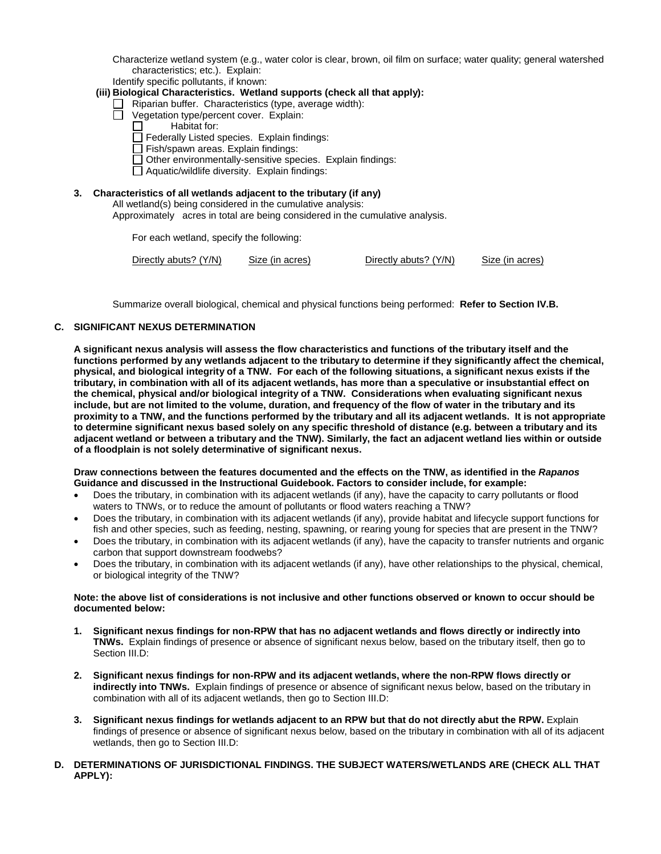Characterize wetland system (e.g., water color is clear, brown, oil film on surface; water quality; general watershed characteristics; etc.). Explain:

Identify specific pollutants, if known:

- **(iii) Biological Characteristics. Wetland supports (check all that apply):**
	- $\Box$  Riparian buffer. Characteristics (type, average width):
	- Vegetation type/percent cover. Explain:
		- Habitat for:
		- Federally Listed species. Explain findings:
		- Fish/spawn areas. Explain findings:
		- $\Box$  Other environmentally-sensitive species. Explain findings:
		- $\Box$  Aquatic/wildlife diversity. Explain findings:

## **3. Characteristics of all wetlands adjacent to the tributary (if any)**

All wetland(s) being considered in the cumulative analysis:

Approximately acres in total are being considered in the cumulative analysis.

For each wetland, specify the following:

```
Directly abuts? (Y/N) Size (in acres) Directly abuts? (Y/N) Size (in acres)
```
Summarize overall biological, chemical and physical functions being performed: **Refer to Section IV.B.**

## **C. SIGNIFICANT NEXUS DETERMINATION**

**A significant nexus analysis will assess the flow characteristics and functions of the tributary itself and the functions performed by any wetlands adjacent to the tributary to determine if they significantly affect the chemical, physical, and biological integrity of a TNW. For each of the following situations, a significant nexus exists if the tributary, in combination with all of its adjacent wetlands, has more than a speculative or insubstantial effect on the chemical, physical and/or biological integrity of a TNW. Considerations when evaluating significant nexus include, but are not limited to the volume, duration, and frequency of the flow of water in the tributary and its proximity to a TNW, and the functions performed by the tributary and all its adjacent wetlands. It is not appropriate to determine significant nexus based solely on any specific threshold of distance (e.g. between a tributary and its adjacent wetland or between a tributary and the TNW). Similarly, the fact an adjacent wetland lies within or outside of a floodplain is not solely determinative of significant nexus.** 

#### **Draw connections between the features documented and the effects on the TNW, as identified in the** *Rapanos* **Guidance and discussed in the Instructional Guidebook. Factors to consider include, for example:**

- Does the tributary, in combination with its adjacent wetlands (if any), have the capacity to carry pollutants or flood waters to TNWs, or to reduce the amount of pollutants or flood waters reaching a TNW?
- Does the tributary, in combination with its adjacent wetlands (if any), provide habitat and lifecycle support functions for fish and other species, such as feeding, nesting, spawning, or rearing young for species that are present in the TNW?
- Does the tributary, in combination with its adjacent wetlands (if any), have the capacity to transfer nutrients and organic carbon that support downstream foodwebs?
- Does the tributary, in combination with its adjacent wetlands (if any), have other relationships to the physical, chemical, or biological integrity of the TNW?

#### **Note: the above list of considerations is not inclusive and other functions observed or known to occur should be documented below:**

- **1. Significant nexus findings for non-RPW that has no adjacent wetlands and flows directly or indirectly into TNWs.** Explain findings of presence or absence of significant nexus below, based on the tributary itself, then go to Section III.D:
- **2. Significant nexus findings for non-RPW and its adjacent wetlands, where the non-RPW flows directly or indirectly into TNWs.** Explain findings of presence or absence of significant nexus below, based on the tributary in combination with all of its adjacent wetlands, then go to Section III.D:
- **3. Significant nexus findings for wetlands adjacent to an RPW but that do not directly abut the RPW.** Explain findings of presence or absence of significant nexus below, based on the tributary in combination with all of its adjacent wetlands, then go to Section III.D:
- **D. DETERMINATIONS OF JURISDICTIONAL FINDINGS. THE SUBJECT WATERS/WETLANDS ARE (CHECK ALL THAT APPLY):**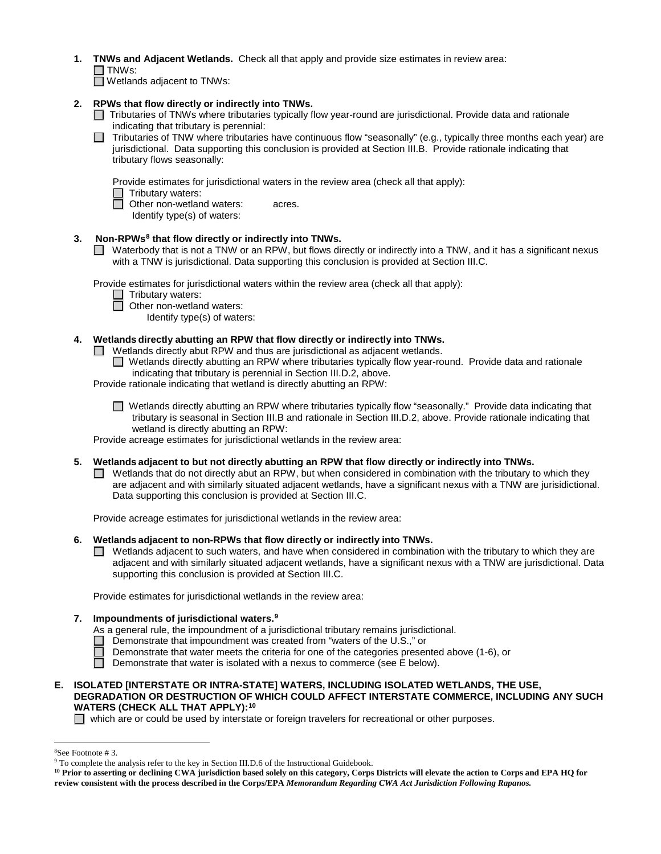**1. TNWs and Adjacent Wetlands.** Check all that apply and provide size estimates in review area:  $\Box$  TNWs:

 $\Box$  Wetlands adjacent to TNWs:

## **2. RPWs that flow directly or indirectly into TNWs.**

- $\Box$  Tributaries of TNWs where tributaries typically flow year-round are jurisdictional. Provide data and rationale indicating that tributary is perennial:
- $\Box$  Tributaries of TNW where tributaries have continuous flow "seasonally" (e.g., typically three months each year) are jurisdictional. Data supporting this conclusion is provided at Section III.B. Provide rationale indicating that tributary flows seasonally:

Provide estimates for jurisdictional waters in the review area (check all that apply):

- $\Box$  Tributary waters:<br> $\Box$  Other non-wetlan
	- **Other non-wetland waters: acres.**
	- Identify type(s) of waters:

## **3. Non-RPWs[8](#page-5-0) that flow directly or indirectly into TNWs.**

■ Waterbody that is not a TNW or an RPW, but flows directly or indirectly into a TNW, and it has a significant nexus with a TNW is jurisdictional. Data supporting this conclusion is provided at Section III.C.

Provide estimates for jurisdictional waters within the review area (check all that apply):

- □ Tributary waters:
- $\Box$  Other non-wetland waters:
	- Identify type(s) of waters:

## **4. Wetlands directly abutting an RPW that flow directly or indirectly into TNWs.**

- $\Box$  Wetlands directly abut RPW and thus are jurisdictional as adjacent wetlands.
	- Wetlands directly abutting an RPW where tributaries typically flow year-round. Provide data and rationale indicating that tributary is perennial in Section III.D.2, above.
- Provide rationale indicating that wetland is directly abutting an RPW:
	- $\Box$  Wetlands directly abutting an RPW where tributaries typically flow "seasonally." Provide data indicating that tributary is seasonal in Section III.B and rationale in Section III.D.2, above. Provide rationale indicating that wetland is directly abutting an RPW:

Provide acreage estimates for jurisdictional wetlands in the review area:

#### **5. Wetlands adjacent to but not directly abutting an RPW that flow directly or indirectly into TNWs.**

 $\Box$  Wetlands that do not directly abut an RPW, but when considered in combination with the tributary to which they are adjacent and with similarly situated adjacent wetlands, have a significant nexus with a TNW are jurisidictional. Data supporting this conclusion is provided at Section III.C.

Provide acreage estimates for jurisdictional wetlands in the review area:

- **6. Wetlands adjacent to non-RPWs that flow directly or indirectly into TNWs.** 
	- $\Box$  Wetlands adjacent to such waters, and have when considered in combination with the tributary to which they are adjacent and with similarly situated adjacent wetlands, have a significant nexus with a TNW are jurisdictional. Data supporting this conclusion is provided at Section III.C.

Provide estimates for jurisdictional wetlands in the review area:

#### **7. Impoundments of jurisdictional waters[.9](#page-5-1)**

- As a general rule, the impoundment of a jurisdictional tributary remains jurisdictional.
- $\Box$  Demonstrate that impoundment was created from "waters of the U.S.," or
	- Demonstrate that water meets the criteria for one of the categories presented above (1-6), or
- Demonstrate that water is isolated with a nexus to commerce (see  $E$  below).

#### **E. ISOLATED [INTERSTATE OR INTRA-STATE] WATERS, INCLUDING ISOLATED WETLANDS, THE USE, DEGRADATION OR DESTRUCTION OF WHICH COULD AFFECT INTERSTATE COMMERCE, INCLUDING ANY SUCH WATERS (CHECK ALL THAT APPLY):[10](#page-5-2)**

 $\Box$  which are or could be used by interstate or foreign travelers for recreational or other purposes.

 $\frac{1}{8}$ 

<span id="page-5-1"></span><span id="page-5-0"></span><sup>&</sup>lt;sup>8</sup>See Footnote # 3. 9  $\degree$  3. 9 To complete the analysis refer to the key in Section III.D.6 of the Instructional Guidebook.

<span id="page-5-2"></span>**<sup>10</sup> Prior to asserting or declining CWA jurisdiction based solely on this category, Corps Districts will elevate the action to Corps and EPA HQ for review consistent with the process described in the Corps/EPA** *Memorandum Regarding CWA Act Jurisdiction Following Rapanos.*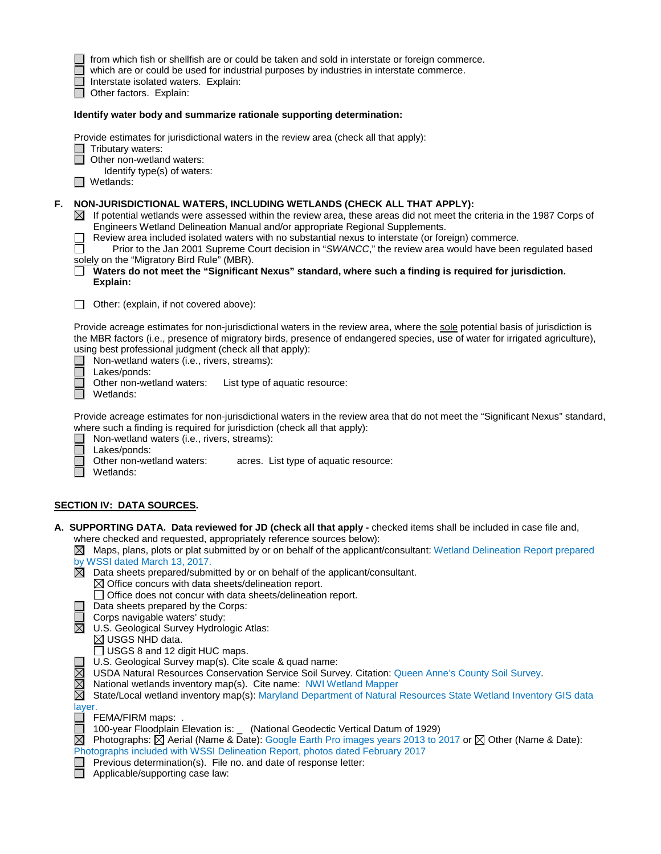|    | which are or could be used for industrial purposes by industries in interstate commerce.<br>Interstate isolated waters. Explain:<br>Other factors. Explain:                                                                                                                                                                                                                                                                                                                                                                                                                                                                                                                                                                                                                                                                                                                                                                                                                                                                                                                                                                                                                                                                                                                                                                                                                                                                                                                                                                                                                                                                                                                                                                 |
|----|-----------------------------------------------------------------------------------------------------------------------------------------------------------------------------------------------------------------------------------------------------------------------------------------------------------------------------------------------------------------------------------------------------------------------------------------------------------------------------------------------------------------------------------------------------------------------------------------------------------------------------------------------------------------------------------------------------------------------------------------------------------------------------------------------------------------------------------------------------------------------------------------------------------------------------------------------------------------------------------------------------------------------------------------------------------------------------------------------------------------------------------------------------------------------------------------------------------------------------------------------------------------------------------------------------------------------------------------------------------------------------------------------------------------------------------------------------------------------------------------------------------------------------------------------------------------------------------------------------------------------------------------------------------------------------------------------------------------------------|
|    | Identify water body and summarize rationale supporting determination:                                                                                                                                                                                                                                                                                                                                                                                                                                                                                                                                                                                                                                                                                                                                                                                                                                                                                                                                                                                                                                                                                                                                                                                                                                                                                                                                                                                                                                                                                                                                                                                                                                                       |
|    | Provide estimates for jurisdictional waters in the review area (check all that apply):<br>$\Box$ Tributary waters:<br>Other non-wetland waters:<br>Identify type(s) of waters:<br>Wetlands:<br>$\Box$                                                                                                                                                                                                                                                                                                                                                                                                                                                                                                                                                                                                                                                                                                                                                                                                                                                                                                                                                                                                                                                                                                                                                                                                                                                                                                                                                                                                                                                                                                                       |
| F. | NON-JURISDICTIONAL WATERS, INCLUDING WETLANDS (CHECK ALL THAT APPLY):<br>$\boxtimes$ If potential wetlands were assessed within the review area, these areas did not meet the criteria in the 1987 Corps of<br>Engineers Wetland Delineation Manual and/or appropriate Regional Supplements.<br>Review area included isolated waters with no substantial nexus to interstate (or foreign) commerce.<br>Prior to the Jan 2001 Supreme Court decision in "SWANCC," the review area would have been regulated based<br>solely on the "Migratory Bird Rule" (MBR).<br>Waters do not meet the "Significant Nexus" standard, where such a finding is required for jurisdiction.<br>Explain:                                                                                                                                                                                                                                                                                                                                                                                                                                                                                                                                                                                                                                                                                                                                                                                                                                                                                                                                                                                                                                       |
|    | Other: (explain, if not covered above):                                                                                                                                                                                                                                                                                                                                                                                                                                                                                                                                                                                                                                                                                                                                                                                                                                                                                                                                                                                                                                                                                                                                                                                                                                                                                                                                                                                                                                                                                                                                                                                                                                                                                     |
|    | Provide acreage estimates for non-jurisdictional waters in the review area, where the sole potential basis of jurisdiction is<br>the MBR factors (i.e., presence of migratory birds, presence of endangered species, use of water for irrigated agriculture),<br>using best professional judgment (check all that apply):<br>Non-wetland waters (i.e., rivers, streams):<br>Lakes/ponds:                                                                                                                                                                                                                                                                                                                                                                                                                                                                                                                                                                                                                                                                                                                                                                                                                                                                                                                                                                                                                                                                                                                                                                                                                                                                                                                                    |
|    | Other non-wetland waters:<br>List type of aquatic resource:<br>Wetlands:                                                                                                                                                                                                                                                                                                                                                                                                                                                                                                                                                                                                                                                                                                                                                                                                                                                                                                                                                                                                                                                                                                                                                                                                                                                                                                                                                                                                                                                                                                                                                                                                                                                    |
|    | Provide acreage estimates for non-jurisdictional waters in the review area that do not meet the "Significant Nexus" standard,<br>where such a finding is required for jurisdiction (check all that apply):<br>Non-wetland waters (i.e., rivers, streams):<br>Lakes/ponds:                                                                                                                                                                                                                                                                                                                                                                                                                                                                                                                                                                                                                                                                                                                                                                                                                                                                                                                                                                                                                                                                                                                                                                                                                                                                                                                                                                                                                                                   |
|    | Other non-wetland waters:<br>acres. List type of aquatic resource:<br>Wetlands:                                                                                                                                                                                                                                                                                                                                                                                                                                                                                                                                                                                                                                                                                                                                                                                                                                                                                                                                                                                                                                                                                                                                                                                                                                                                                                                                                                                                                                                                                                                                                                                                                                             |
|    |                                                                                                                                                                                                                                                                                                                                                                                                                                                                                                                                                                                                                                                                                                                                                                                                                                                                                                                                                                                                                                                                                                                                                                                                                                                                                                                                                                                                                                                                                                                                                                                                                                                                                                                             |
|    | <u>SECTION IV: DATA SOURCES.</u><br>A. SUPPORTING DATA. Data reviewed for JD (check all that apply - checked items shall be included in case file and,<br>where checked and requested, appropriately reference sources below):<br>$\boxtimes$ Maps, plans, plots or plat submitted by or on behalf of the applicant/consultant: Wetland Delineation Report prepared<br>by WSSI dated March 13, 2017.<br>$\boxtimes$ Data sheets prepared/submitted by or on behalf of the applicant/consultant.<br>$\boxtimes$ Office concurs with data sheets/delineation report.<br>$\Box$ Office does not concur with data sheets/delineation report.<br>Data sheets prepared by the Corps:<br>Corps navigable waters' study:<br>$\boxtimes$<br>U.S. Geological Survey Hydrologic Atlas:<br>$\boxtimes$ USGS NHD data.<br>$\Box$ USGS 8 and 12 digit HUC maps.<br>U.S. Geological Survey map(s). Cite scale & quad name:<br>$\boxtimes$<br>USDA Natural Resources Conservation Service Soil Survey. Citation: Queen Anne's County Soil Survey.<br>$\boxtimes$<br>National wetlands inventory map(s). Cite name: NWI Wetland Mapper<br>$\boxtimes$<br>State/Local wetland inventory map(s): Maryland Department of Natural Resources State Wetland Inventory GIS data<br>layer.<br>FEMA/FIRM maps: .<br>100-year Floodplain Elevation is: _ (National Geodectic Vertical Datum of 1929)<br>$\Box$<br>$\boxtimes$<br>Photographs: $\boxtimes$ Aerial (Name & Date): Google Earth Pro images years 2013 to 2017 or $\boxtimes$ Other (Name & Date):<br>Photographs included with WSSI Delineation Report, photos dated February 2017<br>Previous determination(s). File no. and date of response letter:<br>Applicable/supporting case law: |
|    |                                                                                                                                                                                                                                                                                                                                                                                                                                                                                                                                                                                                                                                                                                                                                                                                                                                                                                                                                                                                                                                                                                                                                                                                                                                                                                                                                                                                                                                                                                                                                                                                                                                                                                                             |

from which fish or shellfish are or could be taken and sold in interstate or foreign commerce.